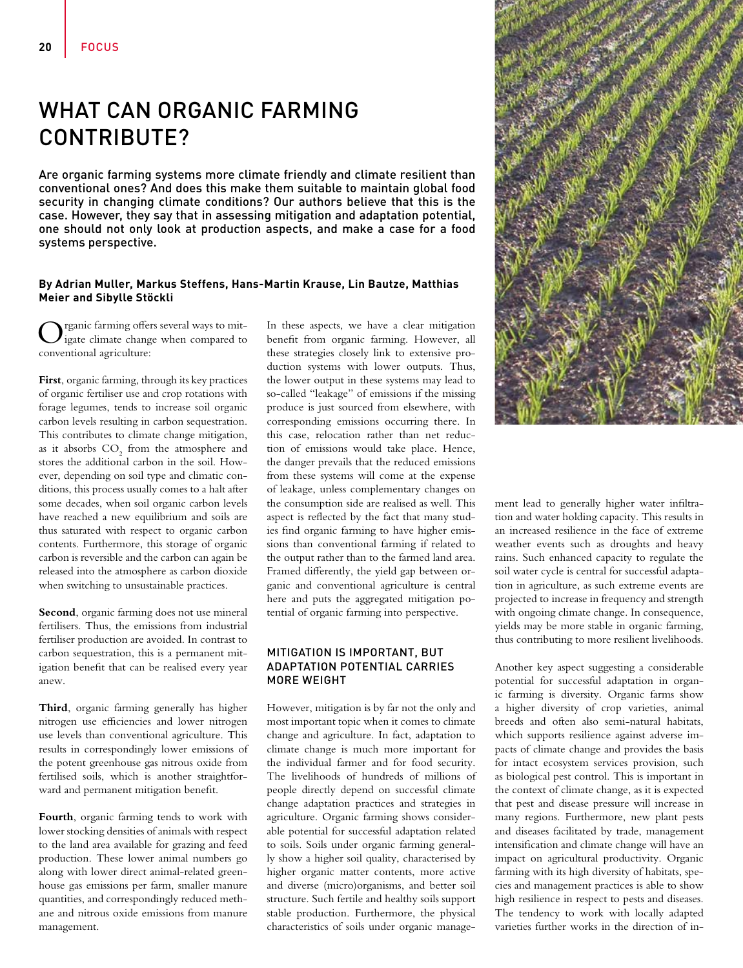# WHAT CAN ORGANIC FARMING CONTRIBUTE?

Are organic farming systems more climate friendly and climate resilient than conventional ones? And does this make them suitable to maintain global food security in changing climate conditions? Our authors believe that this is the case. However, they say that in assessing mitigation and adaptation potential, one should not only look at production aspects, and make a case for a food systems perspective.

#### **By Adrian Muller, Markus Steffens, Hans-Martin Krause, Lin Bautze, Matthias Meier and Sibylle Stöckli**

Organic farming offers several ways to mit-igate climate change when compared to conventional agriculture:

**First**, organic farming, through its key practices of organic fertiliser use and crop rotations with forage legumes, tends to increase soil organic carbon levels resulting in carbon sequestration. This contributes to climate change mitigation, as it absorbs  $\mathrm{CO}_2$  from the atmosphere and stores the additional carbon in the soil. However, depending on soil type and climatic conditions, this process usually comes to a halt after some decades, when soil organic carbon levels have reached a new equilibrium and soils are thus saturated with respect to organic carbon contents. Furthermore, this storage of organic carbon is reversible and the carbon can again be released into the atmosphere as carbon dioxide when switching to unsustainable practices.

**Second**, organic farming does not use mineral fertilisers. Thus, the emissions from industrial fertiliser production are avoided. In contrast to carbon sequestration, this is a permanent mitigation benefit that can be realised every year anew.

**Third**, organic farming generally has higher nitrogen use efficiencies and lower nitrogen use levels than conventional agriculture. This results in correspondingly lower emissions of the potent greenhouse gas nitrous oxide from fertilised soils, which is another straightforward and permanent mitigation benefit.

**Fourth**, organic farming tends to work with lower stocking densities of animals with respect to the land area available for grazing and feed production. These lower animal numbers go along with lower direct animal-related greenhouse gas emissions per farm, smaller manure quantities, and correspondingly reduced methane and nitrous oxide emissions from manure management.

In these aspects, we have a clear mitigation benefit from organic farming. However, all these strategies closely link to extensive production systems with lower outputs. Thus, the lower output in these systems may lead to so-called "leakage" of emissions if the missing produce is just sourced from elsewhere, with corresponding emissions occurring there. In this case, relocation rather than net reduction of emissions would take place. Hence, the danger prevails that the reduced emissions from these systems will come at the expense of leakage, unless complementary changes on the consumption side are realised as well. This aspect is reflected by the fact that many studies find organic farming to have higher emissions than conventional farming if related to the output rather than to the farmed land area. Framed differently, the yield gap between organic and conventional agriculture is central here and puts the aggregated mitigation potential of organic farming into perspective.

### MITIGATION IS IMPORTANT, BUT ADAPTATION POTENTIAL CARRIES MORE WEIGHT

However, mitigation is by far not the only and most important topic when it comes to climate change and agriculture. In fact, adaptation to climate change is much more important for the individual farmer and for food security. The livelihoods of hundreds of millions of people directly depend on successful climate change adaptation practices and strategies in agriculture. Organic farming shows considerable potential for successful adaptation related to soils. Soils under organic farming generally show a higher soil quality, characterised by higher organic matter contents, more active and diverse (micro)organisms, and better soil structure. Such fertile and healthy soils support stable production. Furthermore, the physical characteristics of soils under organic manage-



ment lead to generally higher water infiltration and water holding capacity. This results in an increased resilience in the face of extreme weather events such as droughts and heavy rains. Such enhanced capacity to regulate the soil water cycle is central for successful adaptation in agriculture, as such extreme events are projected to increase in frequency and strength with ongoing climate change. In consequence, yields may be more stable in organic farming, thus contributing to more resilient livelihoods.

Another key aspect suggesting a considerable potential for successful adaptation in organic farming is diversity. Organic farms show a higher diversity of crop varieties, animal breeds and often also semi-natural habitats, which supports resilience against adverse impacts of climate change and provides the basis for intact ecosystem services provision, such as biological pest control. This is important in the context of climate change, as it is expected that pest and disease pressure will increase in many regions. Furthermore, new plant pests and diseases facilitated by trade, management intensification and climate change will have an impact on agricultural productivity. Organic farming with its high diversity of habitats, species and management practices is able to show high resilience in respect to pests and diseases. The tendency to work with locally adapted varieties further works in the direction of in-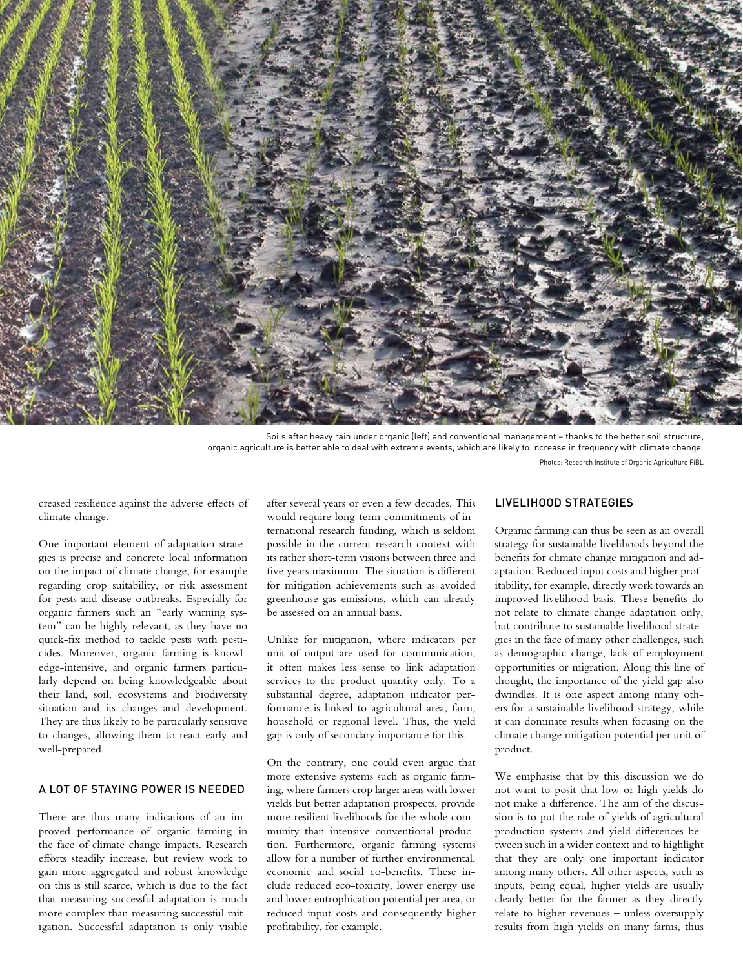

Soils after heavy rain under organic (left) and conventional management – thanks to the better soil structure, organic agriculture is better able to deal with extreme events, which are likely to increase in frequency with climate change. Photos: Research Institute of Organic Agriculture FiBL

creased resilience against the adverse effects of climate change.

One important element of adaptation strategies is precise and concrete local information on the impact of climate change, for example regarding crop suitability, or risk assessment for pests and disease outbreaks. Especially for organic farmers such an "early warning system" can be highly relevant, as they have no quick-fix method to tackle pests with pesticides. Moreover, organic farming is knowledge-intensive, and organic farmers particularly depend on being knowledgeable about their land, soil, ecosystems and biodiversity situation and its changes and development. They are thus likely to be particularly sensitive to changes, allowing them to react early and well-prepared.

# A LOT OF STAYING POWER IS NEEDED

There are thus many indications of an improved performance of organic farming in the face of climate change impacts. Research efforts steadily increase, but review work to gain more aggregated and robust knowledge on this is still scarce, which is due to the fact that measuring successful adaptation is much more complex than measuring successful mitigation. Successful adaptation is only visible after several years or even a few decades. This would require long-term commitments of international research funding, which is seldom possible in the current research context with its rather short-term visions between three and five years maximum. The situation is different for mitigation achievements such as avoided greenhouse gas emissions, which can already be assessed on an annual basis.

Unlike for mitigation, where indicators per unit of output are used for communication, it often makes less sense to link adaptation services to the product quantity only. To a substantial degree, adaptation indicator performance is linked to agricultural area, farm, household or regional level. Thus, the yield gap is only of secondary importance for this.

On the contrary, one could even argue that more extensive systems such as organic farming, where farmers crop larger areas with lower yields but better adaptation prospects, provide more resilient livelihoods for the whole community than intensive conventional production. Furthermore, organic farming systems allow for a number of further environmental, economic and social co-benefits. These include reduced eco-toxicity, lower energy use and lower eutrophication potential per area, or reduced input costs and consequently higher profitability, for example.

#### LIVELIHOOD STRATEGIES

Organic farming can thus be seen as an overall strategy for sustainable livelihoods beyond the benefits for climate change mitigation and adaptation. Reduced input costs and higher profitability, for example, directly work towards an improved livelihood basis. These benefits do not relate to climate change adaptation only, but contribute to sustainable livelihood strategies in the face of many other challenges, such as demographic change, lack of employment opportunities or migration. Along this line of thought, the importance of the yield gap also dwindles. It is one aspect among many others for a sustainable livelihood strategy, while it can dominate results when focusing on the climate change mitigation potential per unit of product.

We emphasise that by this discussion we do not want to posit that low or high yields do not make a difference. The aim of the discussion is to put the role of yields of agricultural production systems and yield differences between such in a wider context and to highlight that they are only one important indicator among many others. All other aspects, such as inputs, being equal, higher yields are usually clearly better for the farmer as they directly relate to higher revenues – unless oversupply results from high yields on many farms, thus